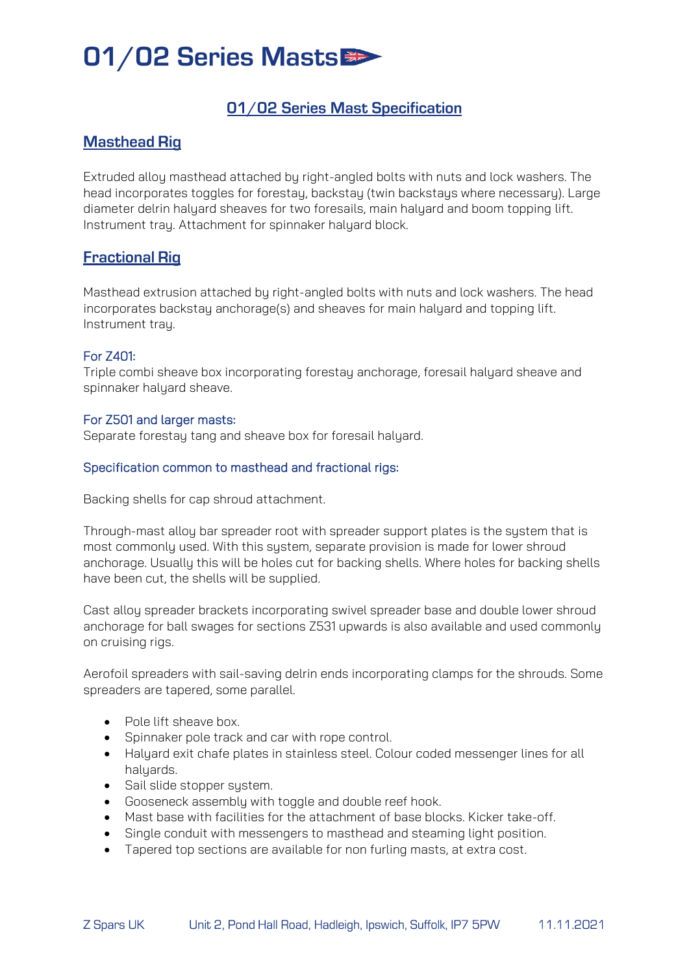## 01/02 Series Masts

## 01/02 Series Mast Specification

## **Masthead Rig**

Extruded alloy masthead attached by right-angled bolts with nuts and lock washers. The head incorporates toggles for forestay, backstay (twin backstays where necessary). Large diameter delrin halyard sheaves for two foresails, main halyard and boom topping lift. Instrument tray. Attachment for spinnaker halyard block.

### **Fractional Rig**

Masthead extrusion attached by right-angled bolts with nuts and lock washers. The head incorporates backstay anchorage(s) and sheaves for main halyard and topping lift. Instrument trau.

#### For Z401:

Triple combi sheave box incorporating forestay anchorage, foresail halyard sheave and spinnaker halyard sheave.

#### For Z501 and larger masts:

Separate forestay tang and sheave box for foresail halyard.

#### Specification common to masthead and fractional rigs:

Backing shells for cap shroud attachment.

Through-mast alloy bar spreader root with spreader support plates is the system that is most commonly used. With this system, separate provision is made for lower shroud anchorage. Usually this will be holes cut for backing shells. Where holes for backing shells have been cut, the shells will be supplied.

Cast alloy spreader brackets incorporating swivel spreader base and double lower shroud anchorage for ball swages for sections Z531 upwards is also available and used commonly on cruising rigs.

Aerofoil spreaders with sail-saving delrin ends incorporating clamps for the shrouds. Some spreaders are tapered, some parallel.

- Pole lift sheave box.
- Spinnaker pole track and car with rope control.
- Halyard exit chafe plates in stainless steel. Colour coded messenger lines for all halyards.
- Sail slide stopper system.
- Gooseneck assembly with toggle and double reef hook.
- Mast base with facilities for the attachment of base blocks. Kicker take-off.
- Single conduit with messengers to masthead and steaming light position.
- Tapered top sections are available for non furling masts, at extra cost.